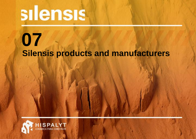# silensis

# **Silensis products and manufacturers 07**

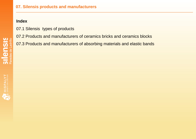### **07. Silensis products and manufacturers**

# **Index**

07.1 Silensis types of products

07.2 Products and manufacturers of ceramics bricks and ceramics blocks

07.3 Products and manufacturers of absorbing materials and elastic bands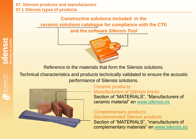#### **07. Silensis products and manufacturers 07.1 Silensis types of products**

# **Constructive solutions included in the ceramic solutions catalogue for compliance with the CTE**

**and the software** *Silensis Tool*



Reference to the materials that form the Silensis solutions.

Technical characteristics and products technically validated to ensure the acoustic performance of Silensis solutions.



*Ceramic products: Manufacturers of Silensis bricks* Section of "MATERIALS", "Manufacturers of ceramic material" en *[www.silensis.es](http://www.silensis.es/)*

*Complementary products: Recommended Silensis products*

Section of "MATERIALS", "manufacturers of complementary materials" en *[www.silensis.es](http://www.silensis.es/)*

HISPALYT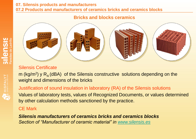## **07. Silensis products and manufacturers 07.2 Products and manufacturers of ceramics bricks and ceramics blocks**

# **Bricks and blocks ceramics**



# Silensis Certificate

m (kg/m<sup>2</sup>) y  $R_A$  (dBA) of the Silensis constructive solutions depending on the weight and dimensions of the bricks

Justification of sound insulation in laboratory (RA) of the Silensis solutions Values of laboratory tests, values of Recognized Documents, or values determined by other calculation methods sanctioned by the practice.

# CE Mark

*Silensis manufacturers of ceramics bricks and ceramics blocks Section of "Manufacturer of ceramic material" in [www.silensis.es](http://www.silensis.es/)*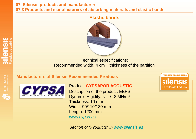**07. Silensis products and manufacturers 07.3 Products and manufacturers of absorbing materials and elastic bands**

### **Elastic bands**



Technical especifications: Recommended width: 4 cm + thickness of the partition

**PRODUCTO RECOMENDADO** 

silensis

Paredes de Ladrillo

#### **Manufacturers of Silensis Recommended Products**



Product: **CYPSAPOR ACOUSTIC** Description of the product: EEPS Dynamic Rigidity:  $s' = 6-8$  MN/m<sup>3</sup> Thickness: 10 mm Widht: 90/110/130 mm Length: 1200 mm *[www.cypsa.es](http://www.cypsa.es/)*

*Section of "Products" in [www.silensis.es](http://www.silensis.es/)*

**SIICNSIS**<br>Paredes de Ladrillo

HISPALYT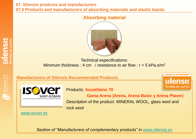**07. Silensis products and manufacturers 07.3 Products and manufacturers of absorbing materials and elastic bands**



**Absorbing material**

Technical especifications: Minimum thickness: 4 cm / resistance to air flow:  $r > 5$  kPa.s/m<sup>2</sup>



**SII en SIS** 

**Manufacturers of Silensis Recommended Products**



Products: **Acustilaine 70**

 **Gama Arena (Arena, Arena Basic y Arena Plaver)**

**silensis** 

Paredes de Ladrillo

Description of the product: MINERAL WOOL, glass wool and rock wool

*[www.isover.es](http://www.isover.es/)*

*Section of "Manufacturers of complementary products" in [www.silensis.es](http://www.silensis.es/)*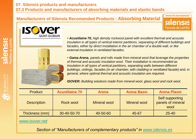# **Manufacturers of Silensis Recomended Products : Absorbing Material**





 *Acustilaine 70, high density rockwool panel with excellent thermal and acoustic insulation in all types of vertical interior partitions, separating of different buildings and facades, either by direct installation in the air chamber of a double wall, or like external insulation in ventilated facades.*

**PRODUCTO RECOMENDADO** 

**silensis** 

Paredes de Ladrillo

 *Gama Arena, panels and rolls made from mineral wool that leverage the properties of thermal and acoustic insulation wool. Their installation is recommended as insulation in all types of vertical partitions, separating walls between different buildings, ceilings, facades (in air chamber, with cladding or ventilated facade) and, in general, where optimal thermal and acoustic insulation are required.*

*ISOVER: Building solutions made from mineral wool, glass wool and rock wool.*

| <b>Product</b>     | <b>Acustilaine 70</b> | <b>Arena</b> | <b>Arena Basic</b>  | <b>Arena Player</b>                          |
|--------------------|-----------------------|--------------|---------------------|----------------------------------------------|
| <b>Description</b> | Rock wool             | Mineral wool | <b>Mineral wool</b> | Self supporting<br>panels of mineral<br>wool |
| Thickness (mm)     | 30-40-50-70           | 40-50-60     | 45-67               | $25 - 40$                                    |

#### *[www.isover.net](http://www.isover.net/)*

*Section of "Manufacturers of complementary products" in [www.silensis.es](http://www.silensis.es/)*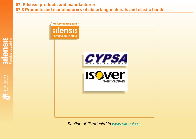**07. Silensis products and manufacturers 07.3 Products and manufacturers of absorbing materials and elastic bands**



*Section of "Products" in [www.silensis.es](http://www.silensis.es/)*